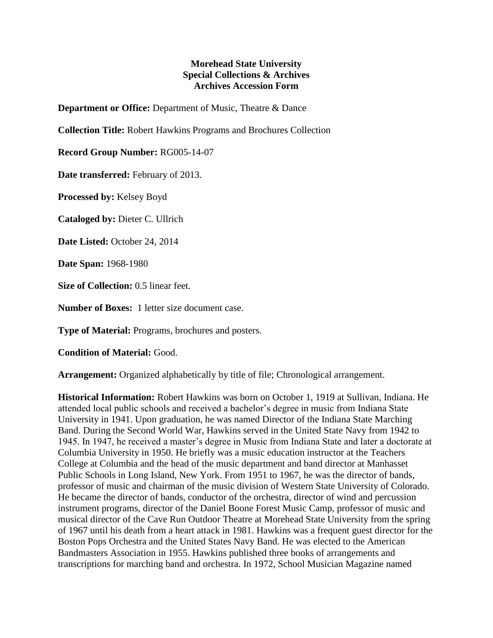## **Morehead State University Special Collections & Archives Archives Accession Form**

**Department or Office:** Department of Music, Theatre & Dance

**Collection Title:** Robert Hawkins Programs and Brochures Collection

**Record Group Number:** RG005-14-07

**Date transferred:** February of 2013.

**Processed by:** Kelsey Boyd

**Cataloged by:** Dieter C. Ullrich

**Date Listed:** October 24, 2014

**Date Span:** 1968-1980

**Size of Collection:** 0.5 linear feet.

**Number of Boxes:** 1 letter size document case.

**Type of Material:** Programs, brochures and posters.

**Condition of Material:** Good.

**Arrangement:** Organized alphabetically by title of file; Chronological arrangement.

**Historical Information:** Robert Hawkins was born on October 1, 1919 at Sullivan, Indiana. He attended local public schools and received a bachelor's degree in music from Indiana State University in 1941. Upon graduation, he was named Director of the Indiana State Marching Band. During the Second World War, Hawkins served in the United State Navy from 1942 to 1945. In 1947, he received a master's degree in Music from Indiana State and later a doctorate at Columbia University in 1950. He briefly was a music education instructor at the Teachers College at Columbia and the head of the music department and band director at Manhasset Public Schools in Long Island, New York. From 1951 to 1967, he was the director of bands, professor of music and chairman of the music division of Western State University of Colorado. He became the director of bands, conductor of the orchestra, director of wind and percussion instrument programs, director of the Daniel Boone Forest Music Camp, professor of music and musical director of the Cave Run Outdoor Theatre at Morehead State University from the spring of 1967 until his death from a heart attack in 1981. Hawkins was a frequent guest director for the Boston Pops Orchestra and the United States Navy Band. He was elected to the American Bandmasters Association in 1955. Hawkins published three books of arrangements and transcriptions for marching band and orchestra. In 1972, School Musician Magazine named